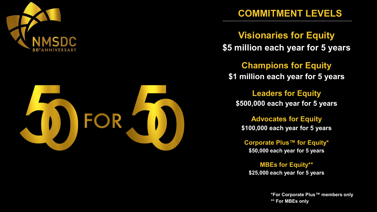



## **COMMITMENT LEVELS**

**Visionaries for Equity \$5 million each year for 5 years**

**Champions for Equity \$1 million each year for 5 years**

**Leaders for Equity \$500,000 each year for 5 years**

**Advocates for Equity \$100,000 each year for 5 years**

**Corporate Plus™ for Equity\* \$50,000 each year for 5 years**

**MBEs for Equity\*\* \$25,000 each year for 5 years**

> **\*For Corporate Plus™ members only \*\* For MBEs only**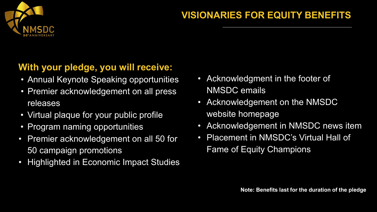

## **VISIONARIES FOR EQUITY BENEFITS**

- Annual Keynote Speaking opportunities
- Premier acknowledgement on all press releases
- Virtual plaque for your public profile
- Program naming opportunities
- Premier acknowledgement on all 50 for 50 campaign promotions
- Highlighted in Economic Impact Studies
- Acknowledgment in the footer of NMSDC emails
- Acknowledgement on the NMSDC website homepage
- Acknowledgement in NMSDC news item
- Placement in NMSDC's Virtual Hall of Fame of Equity Champions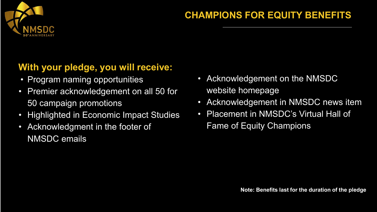

## **CHAMPIONS FOR EQUITY BENEFITS**

- Program naming opportunities
- Premier acknowledgement on all 50 for 50 campaign promotions
- Highlighted in Economic Impact Studies
- Acknowledgment in the footer of NMSDC emails
- Acknowledgement on the NMSDC website homepage
- Acknowledgement in NMSDC news item
- Placement in NMSDC's Virtual Hall of Fame of Equity Champions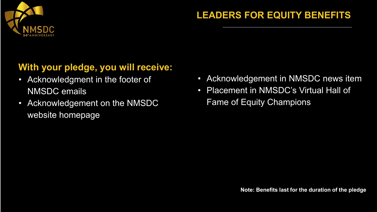

## **LEADERS FOR EQUITY BENEFITS**

- Acknowledgment in the footer of NMSDC emails
- Acknowledgement on the NMSDC website homepage
- Acknowledgement in NMSDC news item
- Placement in NMSDC's Virtual Hall of Fame of Equity Champions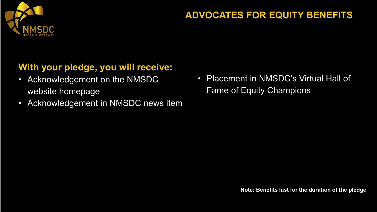

#### **ADVOCATES FOR EQUITY BENEFITS**

- Acknowledgement on the NMSDC website homepage
- Acknowledgement in NMSDC news item
- Placement in NMSDC's Virtual Hall of Fame of Equity Champions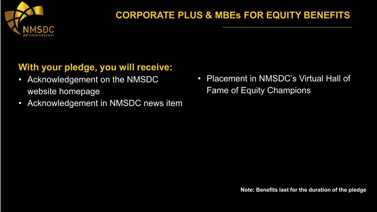

- Acknowledgement on the NMSDC website homepage
- Acknowledgement in NMSDC news item
- Placement in NMSDC's Virtual Hall of Fame of Equity Champions